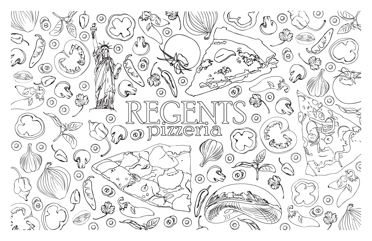